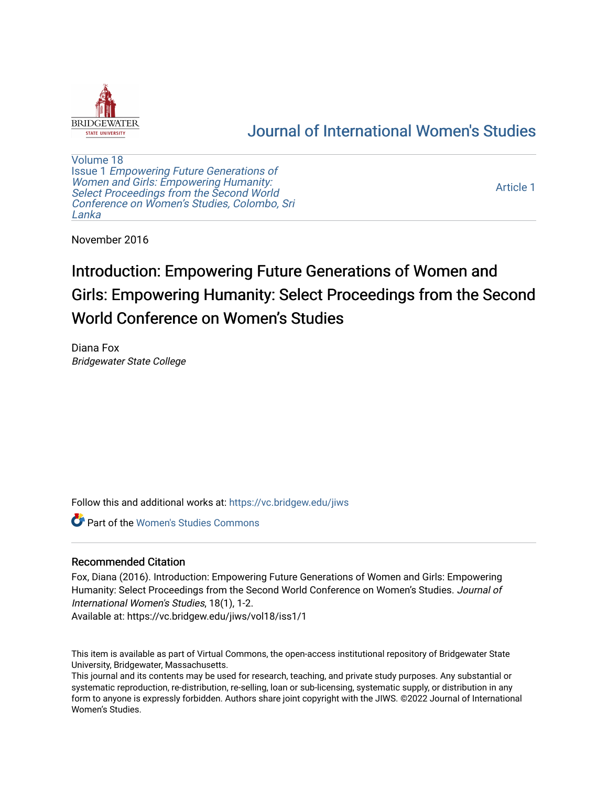

## [Journal of International Women's Studies](https://vc.bridgew.edu/jiws)

[Volume 18](https://vc.bridgew.edu/jiws/vol18) Issue 1 [Empowering Future Generations of](https://vc.bridgew.edu/jiws/vol18/iss1) [Women and Girls: Empowering Humanity:](https://vc.bridgew.edu/jiws/vol18/iss1) [Select Proceedings from the Second World](https://vc.bridgew.edu/jiws/vol18/iss1)  [Conference on Women's Studies, Colombo, Sri](https://vc.bridgew.edu/jiws/vol18/iss1)  [Lanka](https://vc.bridgew.edu/jiws/vol18/iss1) 

[Article 1](https://vc.bridgew.edu/jiws/vol18/iss1/1) 

November 2016

# Introduction: Empowering Future Generations of Women and Girls: Empowering Humanity: Select Proceedings from the Second World Conference on Women's Studies

Diana Fox Bridgewater State College

Follow this and additional works at: [https://vc.bridgew.edu/jiws](https://vc.bridgew.edu/jiws?utm_source=vc.bridgew.edu%2Fjiws%2Fvol18%2Fiss1%2F1&utm_medium=PDF&utm_campaign=PDFCoverPages)

Part of the [Women's Studies Commons](http://network.bepress.com/hgg/discipline/561?utm_source=vc.bridgew.edu%2Fjiws%2Fvol18%2Fiss1%2F1&utm_medium=PDF&utm_campaign=PDFCoverPages) 

## Recommended Citation

Fox, Diana (2016). Introduction: Empowering Future Generations of Women and Girls: Empowering Humanity: Select Proceedings from the Second World Conference on Women's Studies. Journal of International Women's Studies, 18(1), 1-2.

Available at: https://vc.bridgew.edu/jiws/vol18/iss1/1

This item is available as part of Virtual Commons, the open-access institutional repository of Bridgewater State University, Bridgewater, Massachusetts.

This journal and its contents may be used for research, teaching, and private study purposes. Any substantial or systematic reproduction, re-distribution, re-selling, loan or sub-licensing, systematic supply, or distribution in any form to anyone is expressly forbidden. Authors share joint copyright with the JIWS. ©2022 Journal of International Women's Studies.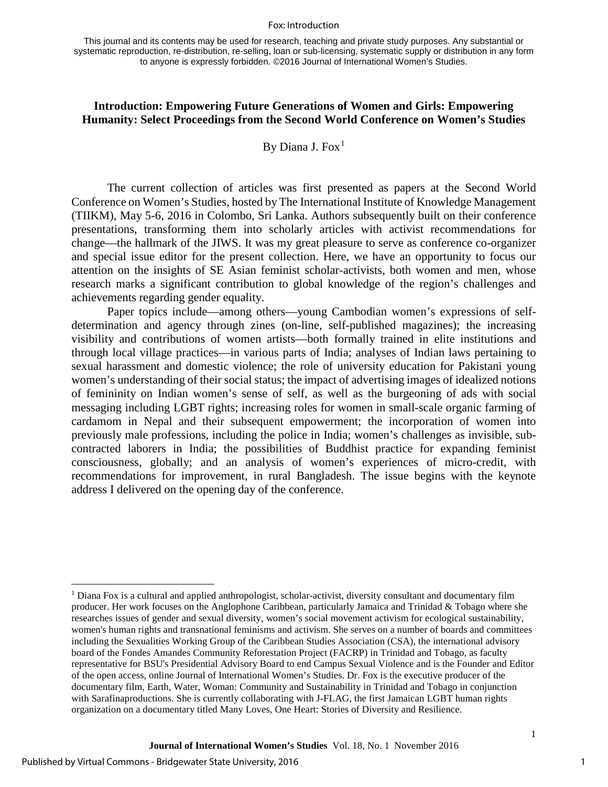#### Fox: Introduction

## **Introduction: Empowering Future Generations of Women and Girls: Empowering Humanity: Select Proceedings from the Second World Conference on Women's Studies**

## By Diana J. Fox<sup>[1](#page-1-0)</sup>

The current collection of articles was first presented as papers at the Second World Conference on Women's Studies, hosted by The International Institute of Knowledge Management (TIIKM), May 5-6, 2016 in Colombo, Sri Lanka. Authors subsequently built on their conference presentations, transforming them into scholarly articles with activist recommendations for change—the hallmark of the JIWS. It was my great pleasure to serve as conference co-organizer and special issue editor for the present collection. Here, we have an opportunity to focus our attention on the insights of SE Asian feminist scholar-activists, both women and men, whose research marks a significant contribution to global knowledge of the region's challenges and achievements regarding gender equality.

Paper topics include—among others—young Cambodian women's expressions of selfdetermination and agency through zines (on-line, self-published magazines); the increasing visibility and contributions of women artists—both formally trained in elite institutions and through local village practices—in various parts of India; analyses of Indian laws pertaining to sexual harassment and domestic violence; the role of university education for Pakistani young women's understanding of their social status; the impact of advertising images of idealized notions of femininity on Indian women's sense of self, as well as the burgeoning of ads with social messaging including LGBT rights; increasing roles for women in small-scale organic farming of cardamom in Nepal and their subsequent empowerment; the incorporation of women into previously male professions, including the police in India; women's challenges as invisible, subcontracted laborers in India; the possibilities of Buddhist practice for expanding feminist consciousness, globally; and an analysis of women's experiences of micro-credit, with recommendations for improvement, in rural Bangladesh. The issue begins with the keynote address I delivered on the opening day of the conference.

 $\overline{\phantom{a}}$ 

1

<span id="page-1-0"></span> $1$  Diana Fox is a cultural and applied anthropologist, scholar-activist, diversity consultant and documentary film producer. Her work focuses on the Anglophone Caribbean, particularly Jamaica and Trinidad & Tobago where she researches issues of gender and sexual diversity, women's social movement activism for ecological sustainability, women's human rights and transnational feminisms and activism. She serves on a number of boards and committees including the Sexualities Working Group of the Caribbean Studies Association (CSA), the international advisory board of the Fondes Amandes Community Reforestation Project (FACRP) in Trinidad and Tobago, as faculty representative for BSU's Presidential Advisory Board to end Campus Sexual Violence and is the Founder and Editor of the open access, online Journal of International Women's Studies. Dr. Fox is the executive producer of the documentary film, Earth, Water, Woman: Community and Sustainability in Trinidad and Tobago in conjunction with Sarafinaproductions. She is currently collaborating with J-FLAG, the first Jamaican LGBT human rights organization on a documentary titled Many Loves, One Heart: Stories of Diversity and Resilience.